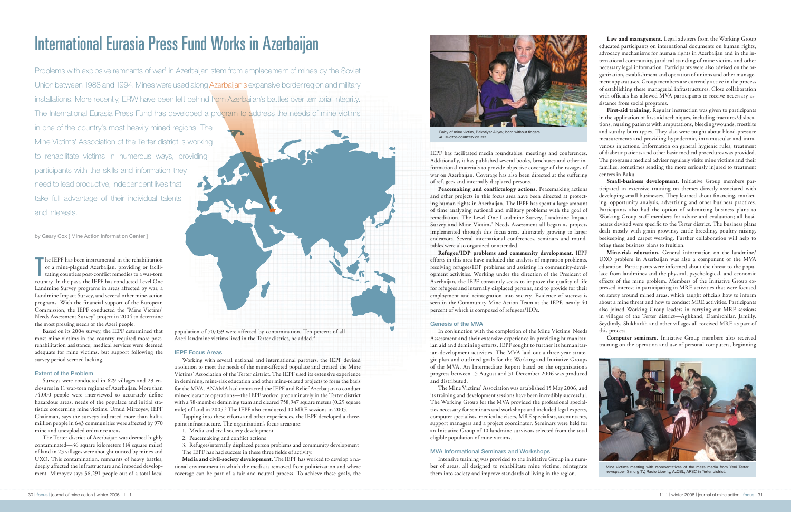The IEPF has been instrumental in the rehabilitation<br>of a mine-plagued Azerbaijan, providing or facili-<br>tating countless post-conflict remedies to a war-torn<br> $\frac{1}{2}$ of a mine-plagued Azerbaijan, providing or facilitating countless post-conflict remedies to a war-torn country. In the past, the IEPF has conducted Level One Landmine Survey programs in areas affected by war, a Landmine Impact Survey, and several other mine-action programs. With the financial support of the European Commission, the IEPF conducted the "Mine Victims' Needs Assessment Survey" project in 2004 to determine the most pressing needs of the Azeri people.

Based on its 2004 survey, the IEPF determined that most mine victims in the country required more postrehabilitation assistance; medical services were deemed adequate for mine victims, but support following the survey period seemed lacking.

# Extent of the Problem

Surveys were conducted in 629 villages and 29 enclosures in 11 war-torn regions of Azerbaijan. More than 74,000 people were interviewed to accurately define hazardous areas, needs of the populace and initial statistics concerning mine victims. Umud Mirzoyev, IEPF Chairman, says the surveys indicated more than half a million people in 643 communities were affected by 970 mine and unexploded ordnance areas.

The Terter district of Azerbaijan was deemed highly contaminated—36 square kilometers (14 square miles) of land in 23 villages were thought tainted by mines and UXO. This contamination, remnants of heavy battles, deeply affected the infrastructure and impeded development. Mirzoyev says 36,291 people out of a total local

# International Eurasia Press Fund Works in Azerbaijan

Problems with explosive remnants of war<sup>1</sup> in Azerbaijan stem from emplacement of mines by the Soviet Union between 1988 and 1994. Mines were used along Azerbaijan's expansive border region and military installations. More recently, ERW have been left behind from Azerbaijan's battles over territorial integrity. The International Eurasia Press Fund has developed a program to address the needs of mine victims

in one of the country's most heavily mined regions. The Mine Victims' Association of the Terter district is working to rehabilitate victims in numerous ways, providing participants with the skills and information they need to lead productive, independent lives that take full advantage of their individual talents and interests.

by Geary Cox [ Mine Action Information Center ]

population of 70,039 were affected by contamination. Ten percent of all Azeri landmine victims lived in the Terter district, he added.2

#### IEPF Focus Areas

Working with several national and international partners, the IEPF devised a solution to meet the needs of the mine-affected populace and created the Mine Victims' Association of the Terter district. The IEPF used its extensive experience in demining, mine-risk education and other mine-related projects to form the basis for the MVA. ANAMA had contracted the IEPF and Relief Azerbaijan to conduct mine-clearance operations—the IEPF worked predominately in the Terter district with a 38-member demining team and cleared 758,947 square meters (0.29 square mile) of land in 2005.3 The IEPF also conducted 10 MRE sessions in 2005.

Tapping into these efforts and other experiences, the IEPF developed a threepoint infrastructure. The organization's focus areas are:

- 1. Media and civil-society development
- 2. Peacemaking and conflict actions
- 3. Refugee/internally displaced person problems and community development
- The IEPF has had success in these three fields of activity.

**Media and civil-society development.** The IEPF has worked to develop a national environment in which the media is removed from politicization and where coverage can be part of a fair and neutral process. To achieve these goals, the

First-aid training. Regular instruction was given to participants in the application of first-aid techniques, including fractures/dislocations, nursing patients with amputations, bleeding/wounds, frostbite and sundry burn types. They also were taught about blood-pressure measurements and providing hypodermic, intramuscular and intravenous injections. Information on general hygienic rules, treatment of diabetic patients and other basic medical procedures was provided. The program's medical adviser regularly visits mine victims and their families, sometimes sending the more seriously injured to treatment centers in Baku.

IEPF has facilitated media roundtables, meetings and conferences. Additionally, it has published several books, brochures and other informational materials to provide objective coverage of the ravages of war on Azerbaijan. Coverage has also been directed at the suffering of refugees and internally displaced persons.

**Peacemaking and conflictology actions.** Peacemaking actions and other projects in this focus area have been directed at protecting human rights in Azerbaijan. The IEPF has spent a large amount of time analyzing national and military problems with the goal of remediation. The Level One Landmine Survey, Landmine Impact Survey and Mine Victims' Needs Assessment all began as projects implemented through this focus area, ultimately growing to larger endeavors. Several international conferences, seminars and roundtables were also organized or attended.



Baby of mine victim, Bakhtiyar Aliyev, born without fingers ALL PHOTOS COURTESY OF IFP

**Refugee/IDP problems and community development.** IEPF efforts in this area have included the analysis of migration problems, resolving refugee/IDP problems and assisting in community-development activities. Working under the direction of the President of Azerbaijan, the IEPF constantly seeks to improve the quality of life for refugees and internally displaced persons, and to provide for their employment and reintegration into society. Evidence of success is seen in the Community Mine Action Team at the IEPF, nearly 40 percent of which is composed of refugees/IDPs.

#### Genesis of the MVA

In conjunction with the completion of the Mine Victims' Needs Assessment and their extensive experience in providing humanitarian aid and demining efforts, IEPF sought to further its humanitarian-development activities. The MVA laid out a three-year strategic plan and outlined goals for the Working and Initiative Groups of the MVA. An Intermediate Report based on the organization's progress between 15 August and 31 December 2006 was produced and distributed.

The Mine Victims' Association was established 15 May 2006, and its training and development sessions have been incredibly successful. The Working Group for the MVA provided the professional specialties necessary for seminars and workshops and included legal experts, computer specialists, medical advisers, MRE specialists, accountants, support managers and a project coordinator. Seminars were held for an Initiative Group of 10 landmine survivors selected from the total eligible population of mine victims.

#### MVA Informational Seminars and Workshops

Intensive training was provided to the Initiative Group in a number of areas, all designed to rehabilitate mine victims, reintegrate them into society and improve standards of living in the region.



**Law and management.** Legal advisers from the Working Group educated participants on international documents on human rights, advocacy mechanisms for human rights in Azerbaijan and in the international community, juridical standing of mine victims and other necessary legal information. Participants were also advised on the organization, establishment and operation of unions and other management apparatuses. Group members are currently active in the process of establishing these managerial infrastructures. Close collaboration with officials has allowed MVA participants to receive necessary assistance from social programs.

**Small-business development.** Initiative Group members participated in extensive training on themes directly associated with developing small businesses. They learned about financing, marketing, opportunity analysis, advertising and other business practices. Participants also had the option of submitting business plans to Working Group staff members for advice and evaluation; all businesses devised were specific to the Terter district. The business plans dealt mostly with grain growing, cattle breeding, poultry raising, beekeeping and carpet weaving. Further collaboration will help to bring these business plans to fruition.

**Mine-risk education.** General information on the landmine/ UXO problem in Azerbaijan was also a component of the MVA education. Participants were informed about the threat to the populace from landmines and the physical, psychological, and economic effects of the mine problem. Members of the Initiative Group expressed interest in participating in MRE activities that were focused on safety around mined areas, which taught officials how to inform about a mine threat and how to conduct MRE activities. Participants also joined Working Group leaders in carrying out MRE sessions in villages of the Terter district—Aghkand, Damirchilar, Jamilly, Seydimly, Shikharkh and other villages all received MRE as part of this process.

**Computer seminars.** Initiative Group members also received training on the operation and use of personal computers, beginning



Mine victims meeting with representatives of the mass media from Yeni Tertar newspaper, Simurg TV, Radio Liberity, AzCBL, ARSC in Terter district.